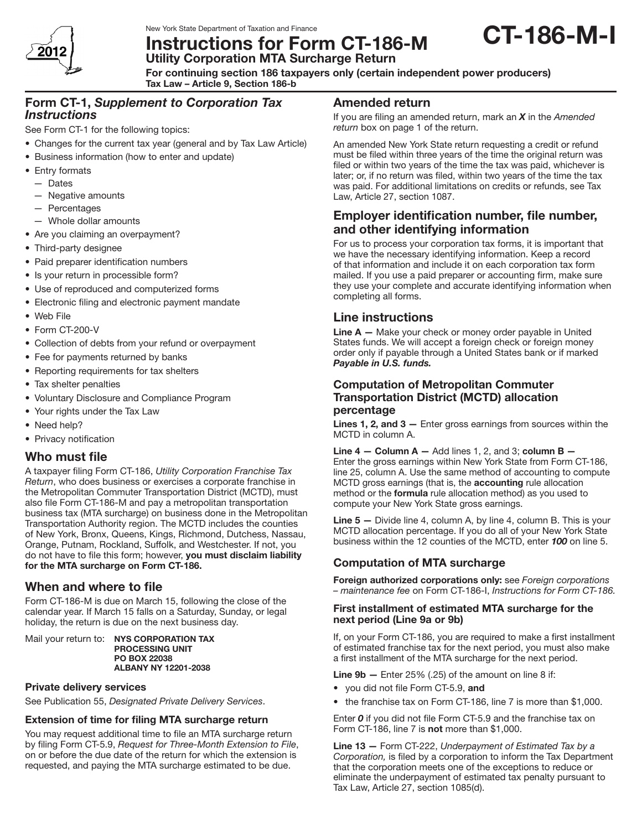

New York State Department of Taxation and Finance

**Instructions for Form CT-186-M**<br>Utility Corporation MTA Surcharge Return

For continuing section 186 taxpayers only (certain independent power producers)

Tax Law – Article 9, Section 186-b

## Form CT-1, *Supplement to Corporation Tax Instructions*

See Form CT-1 for the following topics:

- Changes for the current tax year (general and by Tax Law Article)
- Business information (how to enter and update)
- Entry formats
	- Dates
	- — Negative amounts
	- Percentages
- $-$  Whole dollar amounts
- Are you claiming an overpayment?
- Third-party designee
- Paid preparer identification numbers
- Is your return in processible form?
- Use of reproduced and computerized forms
- Electronic filing and electronic payment mandate
- • Web File
- Form CT-200-V
- Collection of debts from your refund or overpayment
- Fee for payments returned by banks
- Reporting requirements for tax shelters
- Tax shelter penalties
- • Voluntary Disclosure and Compliance Program
- Your rights under the Tax Law
- Need help?
- Privacy notification

# Who must file

A taxpayer filing Form CT-186, *Utility Corporation Franchise Tax Return*, who does business or exercises a corporate franchise in the Metropolitan Commuter Transportation District (MCTD), must also file Form CT-186-M and pay a metropolitan transportation business tax (MTA surcharge) on business done in the Metropolitan Transportation Authority region. The MCTD includes the counties of New York, Bronx, Queens, Kings, Richmond, Dutchess, Nassau, Orange, Putnam, Rockland, Suffolk, and Westchester. If not, you do not have to file this form; however, you must disclaim liability for the MTA surcharge on Form CT-186.

# When and where to file

Form CT-186-M is due on March 15, following the close of the calendar year. If March 15 falls on a Saturday, Sunday, or legal holiday, the return is due on the next business day.

Mail your return to: NYS CORPORATION TAX PROCESSING UNIT PO BOX 22038 ALBANY NY 12201-2038

### Private delivery services

See Publication 55, *Designated Private Delivery Services*.

### Extension of time for filing MTA surcharge return

You may request additional time to file an MTA surcharge return by filing Form CT-5.9, *Request for Three‑Month Extension to File*, on or before the due date of the return for which the extension is requested, and paying the MTA surcharge estimated to be due.

## Amended return

If you are filing an amended return, mark an *X* in the *Amended return* box on page 1 of the return.

CT-186-M-I

An amended New York State return requesting a credit or refund must be filed within three years of the time the original return was filed or within two years of the time the tax was paid, whichever is later; or, if no return was filed, within two years of the time the tax was paid. For additional limitations on credits or refunds, see Tax Law, Article 27, section 1087.

# Employer identification number, file number, and other identifying information

For us to process your corporation tax forms, it is important that we have the necessary identifying information. Keep a record of that information and include it on each corporation tax form mailed. If you use a paid preparer or accounting firm, make sure they use your complete and accurate identifying information when completing all forms.

# Line instructions

**Line**  $A$   $-$  Make your check or money order payable in United States funds. We will accept a foreign check or foreign money order only if payable through a United States bank or if marked *Payable in U.S. funds.*

### Computation of Metropolitan Commuter Transportation District (MCTD) allocation percentage

Lines 1, 2, and 3 - Enter gross earnings from sources within the MCTD in column A.

Line  $4 -$  Column A  $-$  Add lines 1, 2, and 3; column B  $-$ Enter the gross earnings within New York State from Form CT-186, line 25, column A. Use the same method of accounting to compute MCTD gross earnings (that is, the accounting rule allocation method or the formula rule allocation method) as you used to compute your New York State gross earnings.

Line 5 - Divide line 4, column A, by line 4, column B. This is your MCTD allocation percentage. If you do all of your New York State business within the 12 counties of the MCTD, enter *100* on line 5.

## Computation of MTA surcharge

Foreign authorized corporations only: see *Foreign corporations – maintenance fee* on Form CT-186-I, *Instructions for Form CT-186.*

#### First installment of estimated MTA surcharge for the next period (Line 9a or 9b)

If, on your Form CT-186, you are required to make a first installment of estimated franchise tax for the next period, you must also make a first installment of the MTA surcharge for the next period.

**Line 9b**  $-$  Enter 25% (.25) of the amount on line 8 if:

- you did not file Form CT-5.9, and
- the franchise tax on Form CT-186, line 7 is more than \$1,000.

Enter *0* if you did not file Form CT-5.9 and the franchise tax on Form CT-186, line 7 is not more than \$1,000.

Line 13 — Form CT-222, *Underpayment of Estimated Tax by a Corporation,* is filed by a corporation to inform the Tax Department that the corporation meets one of the exceptions to reduce or eliminate the underpayment of estimated tax penalty pursuant to Tax Law, Article 27, section 1085(d).